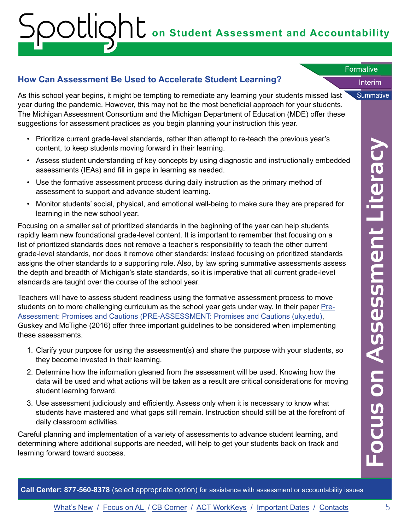# **on Student Assessment and Accountability** Formative<br>Interim

### **How Can Assessment Be Used to Accelerate Student Learning?**

As this school year begins, it might be tempting to remediate any learning your students missed last year during the pandemic. However, this may not be the most beneficial approach for your students. The Michigan Assessment Consortium and the Michigan Department of Education (MDE) offer these suggestions for assessment practices as you begin planning your instruction this year.

- Prioritize current grade-level standards, rather than attempt to re-teach the previous year's content, to keep students moving forward in their learning.
- Assess student understanding of key concepts by using diagnostic and instructionally embedded assessments (IEAs) and fill in gaps in learning as needed.
- Use the formative assessment process during daily instruction as the primary method of assessment to support and advance student learning.
- Monitor students' social, physical, and emotional well-being to make sure they are prepared for learning in the new school year.

Focusing on a smaller set of prioritized standards in the beginning of the year can help students rapidly learn new foundational grade-level content. It is important to remember that focusing on a list of prioritized standards does not remove a teacher's responsibility to teach the other current grade-level standards, nor does it remove other standards; instead focusing on prioritized standards assigns the other standards to a supporting role. Also, by law spring summative assessments assess the depth and breadth of Michigan's state standards, so it is imperative that all current grade-level standards are taught over the course of the school year.

Teachers will have to assess student readiness using the formative assessment process to move students on to more challenging curriculum as the school year gets under way. In their paper Pre-Assessment: Promises and Cautions (PRE-ASSESSMENT: Promises and Cautions (uky.edu), Guskey and McTighe (2016) offer three important guidelines to be considered when implementing these assessments.

- 1. Clarify your purpose for using the assessment(s) and share the purpose with your students, so they become invested in their learning.
- 2. Determine how the information gleaned from the assessment will be used. Knowing how the data will be used and what actions will be taken as a result are critical considerations for moving student learning forward.
- 3. Use assessment judiciously and efficiently. Assess only when it is necessary to know what students have mastered and what gaps still remain. Instruction should still be at the forefront of daily classroom activities.

Careful planning and implementation of a variety of assessments to advance student learning, and determining where additional supports are needed, will help to get your students back on track and learning forward toward success.

**Focus on Assessment Literacy > u ta**   $\blacksquare$ **GJ**  ■-""" **...J**   $\overline{\mathbf{C}}$ **GJ E ln ln GJ ln ln**   $\triangleleft$ **C 0** 

Interim

Summative

Formative Formative

**Call Center: 877-560-8378** (select appropriate option) for assistance with assessment or accountability issues

**ln** 

**::::J u** 

**0** 

**LL**